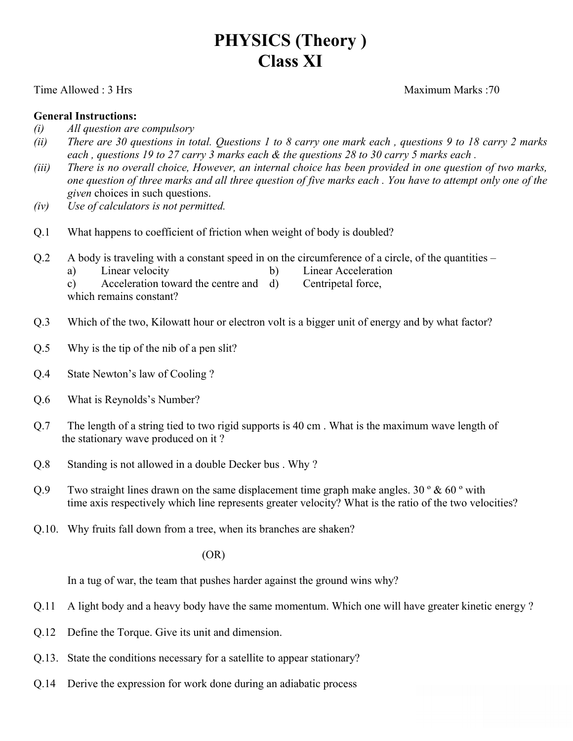# **PHYSICS (Theory ) Class XI**

#### Time Allowed : 3 Hrs Maximum Marks : 70

#### **General Instructions:**

- *(i) All question are compulsory*
- (ii) There are 30 questions in total. Questions 1 to 8 carry one mark each, questions 9 to 18 carry 2 marks each, questions 19 to 27 carry 3 marks each & the questions 28 to 30 carry 5 marks each.
- (iii) There is no overall choice, However, an internal choice has been provided in one question of two marks, one question of three marks and all three question of five marks each. You have to attempt only one of the *given* choices in such questions.
- *(iv) Use of calculators is not permitted.*
- Q.1 What happens to coefficient of friction when weight of body is doubled?
- Q.2 A body is traveling with a constant speed in on the circumference of a circle, of the quantities
	- a) Linear velocity b) Linear Acceleration
		-

c) Acceleration toward the centre and d) Centripetal force, which remains constant?

- Q.3 Which of the two, Kilowatt hour or electron volt is a bigger unit of energy and by what factor?
- Q.5 Why is the tip of the nib of a pen slit?
- Q.4 State Newton's law of Cooling ?
- Q.6 What is Reynolds's Number?
- Q.7 The length of a string tied to two rigid supports is 40 cm . What is the maximum wave length of the stationary wave produced on it ?
- Q.8 Standing is not allowed in a double Decker bus . Why ?
- Q.9 Two straight lines drawn on the same displacement time graph make angles.  $30^\circ \& 60^\circ$  with time axis respectively which line represents greater velocity? What is the ratio of the two velocities?
- Q.10. Why fruits fall down from a tree, when its branches are shaken?

(OR)

In a tug of war, the team that pushes harder against the ground wins why?

- Q.11 A light body and a heavy body have the same momentum. Which one will have greater kinetic energy ?
- Q.12 Define the Torque. Give its unit and dimension.
- Q.13. State the conditions necessary for a satellite to appear stationary?
- Q.14 Derive the expression for work done during an adiabatic process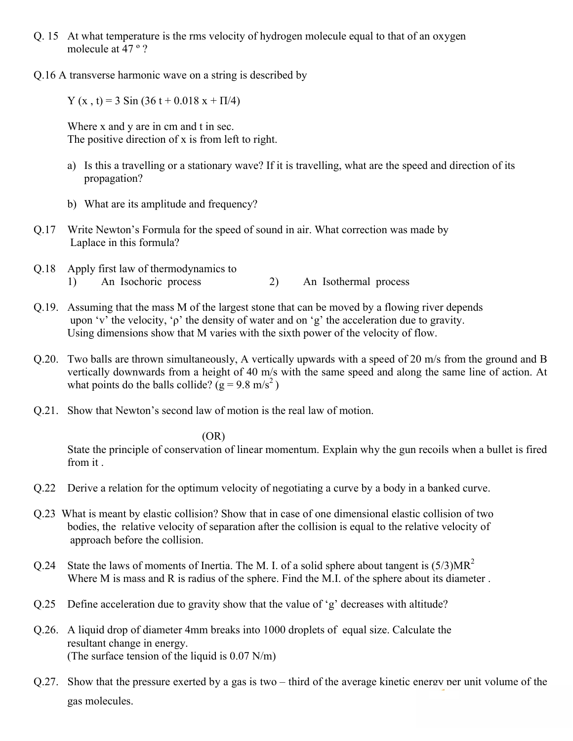- Q. 15 At what temperature is the rms velocity of hydrogen molecule equal to that of an oxygen molecule at 47 º ?
- Q.16 A transverse harmonic wave on a string is described by

Y (x, t) = 3 Sin (36 t + 0.018 x +  $\Pi$ /4)

Where x and y are in cm and t in sec. The positive direction of x is from left to right.

- a) Is this a travelling or a stationary wave? If it is travelling, what are the speed and direction of its propagation?
- b) What are its amplitude and frequency?
- Q.17 Write Newton's Formula for the speed of sound in air. What correction was made by Laplace in this formula?
- Q.18 Apply first law of thermodynamics to 1) An Isochoric process 2) An Isothermal process
- Q.19. Assuming that the mass M of the largest stone that can be moved by a flowing river depends upon 'v' the velocity, 'ρ' the density of water and on 'g' the acceleration due to gravity. Using dimensions show that M varies with the sixth power of the velocity of flow.
- Q.20. Two balls are thrown simultaneously, A vertically upwards with a speed of 20 m/s from the ground and B vertically downwards from a height of 40 m/s with the same speed and along the same line of action. At what points do the balls collide? ( $g = 9.8$  m/s<sup>2</sup>)
- Q.21. Show that Newton's second law of motion is the real law of motion.

### (OR)

State the principle of conservation of linear momentum. Explain why the gun recoils when a bullet is fired from it .

- Q.22 Derive a relation for the optimum velocity of negotiating a curve by a body in a banked curve.
- Q.23 What is meant by elastic collision? Show that in case of one dimensional elastic collision of two bodies, the relative velocity of separation after the collision is equal to the relative velocity of approach before the collision.
- Q.24 State the laws of moments of Inertia. The M. I. of a solid sphere about tangent is  $(5/3)MR^2$ Where M is mass and R is radius of the sphere. Find the M.I. of the sphere about its diameter.
- $Q.25$  Define acceleration due to gravity show that the value of 'g' decreases with altitude?
- Q.26. A liquid drop of diameter 4mm breaks into 1000 droplets of equal size. Calculate the resultant change in energy. (The surface tension of the liquid is 0.07 N/m)
- Q.27. Show that the pressure exerted by a gas is two third of the average kinetic energy per unit volume of the gas molecules.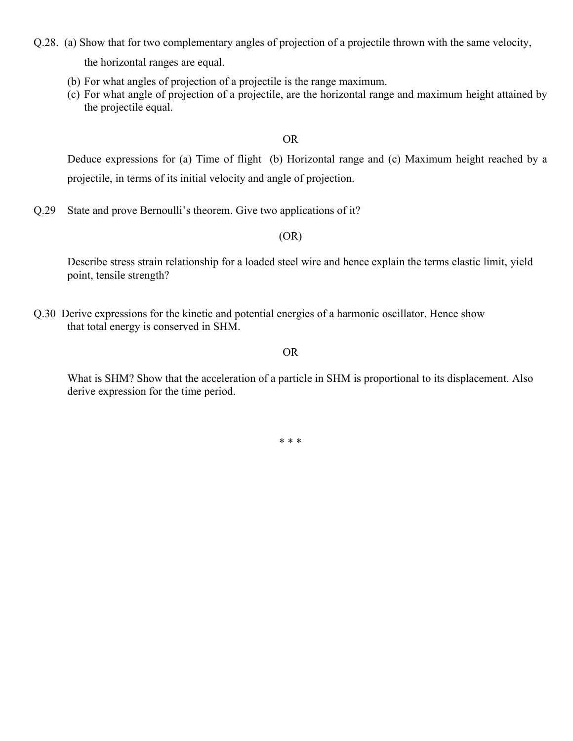Q.28. (a) Show that for two complementary angles of projection of a projectile thrown with the same velocity,

the horizontal ranges are equal.

- (b) For what angles of projection of a projectile is the range maximum.
- (c) For what angle of projection of a projectile, are the horizontal range and maximum height attained by the projectile equal.

OR

Deduce expressions for (a) Time of flight (b) Horizontal range and (c) Maximum height reached by a projectile, in terms of its initial velocity and angle of projection.

Q.29 State and prove Bernoulli's theorem. Give two applications of it?

(OR)

Describe stress strain relationship for a loaded steel wire and hence explain the terms elastic limit, yield point, tensile strength?

Q.30 Derive expressions for the kinetic and potential energies of a harmonic oscillator. Hence show that total energy is conserved in SHM.

#### OR

What is SHM? Show that the acceleration of a particle in SHM is proportional to its displacement. Also derive expression for the time period.

\* \* \*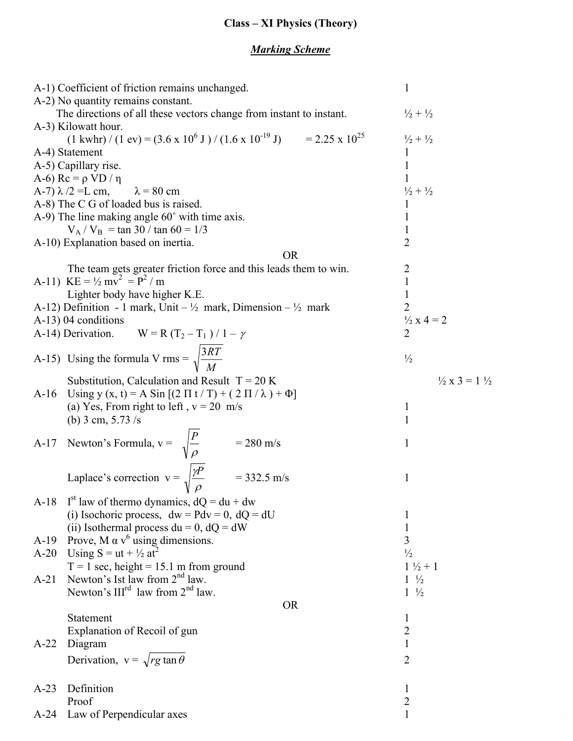# **Class – XI Physics (Theory)**

## *Marking Scheme*

| A-1) Coefficient of friction remains unchanged.                                                                                     | $\mathbf{1}$                        |
|-------------------------------------------------------------------------------------------------------------------------------------|-------------------------------------|
| A-2) No quantity remains constant.                                                                                                  |                                     |
| The directions of all these vectors change from instant to instant.                                                                 | $\frac{1}{2} + \frac{1}{2}$         |
| A-3) Kilowatt hour.                                                                                                                 |                                     |
| $(1 \text{ kwhr}) / (1 \text{ ev}) = (3.6 \times 10^{6} \text{ J}) / (1.6 \times 10^{-19} \text{ J}) = 2.25 \times 10^{25}$         | $\frac{1}{2} + \frac{1}{2}$         |
| A-4) Statement                                                                                                                      | 1                                   |
| A-5) Capillary rise.                                                                                                                | 1                                   |
| A-6) $Rc = \rho VD / \eta$                                                                                                          |                                     |
| A-7) $\lambda$ /2 = L cm, $\lambda$ = 80 cm                                                                                         | $\frac{1}{2} + \frac{1}{2}$         |
| A-8) The C G of loaded bus is raised.                                                                                               | 1                                   |
| A-9) The line making angle 60° with time axis.                                                                                      | 1                                   |
| $V_A / V_B = \tan 30 / \tan 60 = 1/3$                                                                                               | $\mathbf{1}$                        |
| A-10) Explanation based on inertia.                                                                                                 | $\overline{2}$                      |
| <b>OR</b>                                                                                                                           |                                     |
| The team gets greater friction force and this leads them to win.                                                                    | $\overline{2}$                      |
| A-11) $KE = \frac{1}{2} mv^2 = P^2 / m$                                                                                             | 1                                   |
| Lighter body have higher K.E.                                                                                                       | 1                                   |
| A-12) Definition - 1 mark, Unit – $\frac{1}{2}$ mark, Dimension – $\frac{1}{2}$ mark                                                | $\overline{2}$                      |
| A-13) 04 conditions                                                                                                                 | $\frac{1}{2}x 4 = 2$                |
| A-14) Derivation. $W = R (T_2 - T_1) / 1 - \gamma$                                                                                  | $\overline{2}$                      |
|                                                                                                                                     |                                     |
| A-15) Using the formula V rms = $\sqrt{\frac{3RT}{M}}$                                                                              | $\frac{1}{2}$                       |
|                                                                                                                                     |                                     |
| Substitution, Calculation and Result $T = 20 K$                                                                                     | $\frac{1}{2}$ x 3 = 1 $\frac{1}{2}$ |
| A-16 Using y (x, t) = A Sin $[(2 \Pi t/T) + (2 \Pi / \lambda) + \Phi]$                                                              |                                     |
| (a) Yes, From right to left, $v = 20$ m/s                                                                                           | $\mathbf{I}$                        |
| (b) 3 cm, $5.73/s$                                                                                                                  | 1                                   |
|                                                                                                                                     |                                     |
|                                                                                                                                     | 1                                   |
|                                                                                                                                     |                                     |
| A-17 Newton's Formula, $v = \sqrt{\frac{P}{\rho}}$ = 280 m/s<br>Laplace's correction $v = \sqrt{\frac{\gamma P}{\rho}}$ = 332.5 m/s |                                     |
|                                                                                                                                     | 1                                   |
|                                                                                                                                     |                                     |
| A-18 I <sup>st</sup> law of thermo dynamics, $dQ = du + dw$                                                                         |                                     |
| (i) Isochoric process, $dw = Pdv = 0$ , $dQ = dU$                                                                                   | 1                                   |
| (ii) Isothermal process $du = 0$ , $dQ = dW$                                                                                        | 1                                   |
| Prove, M $\alpha$ v <sup>6</sup> using dimensions.<br>$A-19$                                                                        | 3                                   |
| Using $S = ut + \frac{1}{2}at^2$<br>$A-20$                                                                                          | $\frac{1}{2}$                       |
| $T = 1$ sec, height = 15.1 m from ground                                                                                            | $1\frac{1}{2}+1$                    |
| Newton's Ist law from $2nd$ law.<br>$A-21$                                                                                          | $1 \frac{1}{2}$                     |
| Newton's $III^{rd}$ law from $2^{nd}$ law.                                                                                          | $1\frac{1}{2}$                      |
| <b>OR</b>                                                                                                                           |                                     |
| Statement                                                                                                                           |                                     |
|                                                                                                                                     | $\mathbf{1}$                        |
| Explanation of Recoil of gun                                                                                                        | $\sqrt{2}$                          |
| Diagram<br>$A-22$                                                                                                                   | 1                                   |
| Derivation, $v = \sqrt{rg \tan \theta}$                                                                                             | $\overline{2}$                      |
|                                                                                                                                     |                                     |
| Definition<br>$A-23$                                                                                                                | $\bf{l}$                            |
| Proof                                                                                                                               | $\overline{2}$                      |
| Law of Perpendicular axes<br>$A-24$                                                                                                 |                                     |
|                                                                                                                                     |                                     |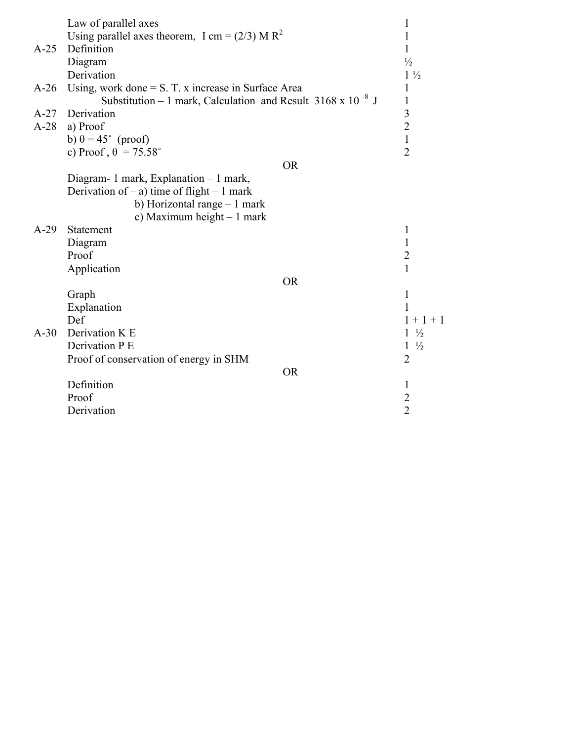|        | Law of parallel axes                                                    |           | 1                       |
|--------|-------------------------------------------------------------------------|-----------|-------------------------|
|        | Using parallel axes theorem, I cm = $(2/3)$ M R <sup>2</sup>            |           | 1                       |
| $A-25$ | Definition                                                              |           | 1                       |
|        | Diagram                                                                 |           | $\frac{1}{2}$           |
|        | Derivation                                                              |           | $1\frac{1}{2}$          |
| $A-26$ | Using, work done $= S$ . T. x increase in Surface Area                  |           | $\mathbf{1}$            |
|        | Substitution – 1 mark, Calculation and Result 3168 x 10 <sup>-8</sup> J |           | $\mathbf{1}$            |
| $A-27$ | Derivation                                                              |           | $\overline{\mathbf{3}}$ |
| $A-28$ | a) Proof                                                                |           |                         |
|        | b) $\theta = 45^{\circ}$ (proof)                                        |           | $\frac{2}{1}$           |
|        | c) Proof, $\theta$ = 75.58°                                             |           | $\overline{2}$          |
|        |                                                                         | <b>OR</b> |                         |
|        | Diagram- 1 mark, Explanation $-1$ mark,                                 |           |                         |
|        | Derivation of $-$ a) time of flight $-1$ mark                           |           |                         |
|        | b) Horizontal range $-1$ mark                                           |           |                         |
|        | c) Maximum height $-1$ mark                                             |           |                         |
| $A-29$ | Statement                                                               |           | 1                       |
|        | Diagram                                                                 |           | $\mathbf{1}$            |
|        | Proof                                                                   |           |                         |
|        | Application                                                             |           | $\frac{2}{1}$           |
|        |                                                                         | <b>OR</b> |                         |
|        | Graph                                                                   |           | $\mathbf{1}$            |
|        | Explanation                                                             |           | 1                       |
|        | Def                                                                     |           | $1 + 1 + 1$             |
| $A-30$ | Derivation K E                                                          |           | $1\frac{1}{2}$          |
|        | Derivation P E                                                          |           | $1\frac{1}{2}$          |
|        | Proof of conservation of energy in SHM                                  |           | $\overline{2}$          |
|        |                                                                         | <b>OR</b> |                         |
|        | Definition                                                              |           | 1                       |
|        | Proof                                                                   |           | $\overline{c}$          |
|        | Derivation                                                              |           | $\overline{2}$          |